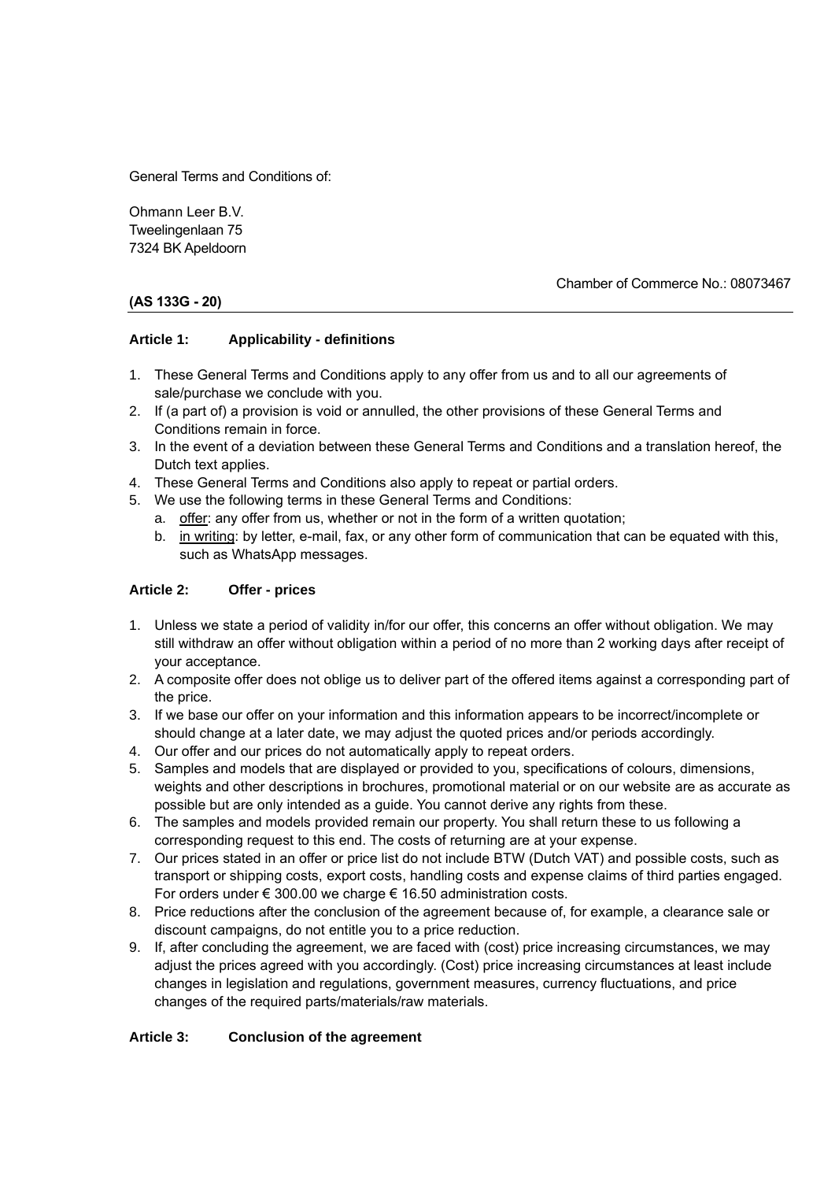General Terms and Conditions of:

Ohmann Leer B.V. Tweelingenlaan 75 7324 BK Apeldoorn

## Chamber of Commerce No.: 08073467

# **(AS 133G - 20)**

## **Article 1: Applicability - definitions**

- 1. These General Terms and Conditions apply to any offer from us and to all our agreements of sale/purchase we conclude with you.
- 2. If (a part of) a provision is void or annulled, the other provisions of these General Terms and Conditions remain in force.
- 3. In the event of a deviation between these General Terms and Conditions and a translation hereof, the Dutch text applies.
- 4. These General Terms and Conditions also apply to repeat or partial orders.
- 5. We use the following terms in these General Terms and Conditions:
	- a. offer: any offer from us, whether or not in the form of a written quotation;
	- b. in writing: by letter, e-mail, fax, or any other form of communication that can be equated with this, such as WhatsApp messages.

## **Article 2: Offer - prices**

- 1. Unless we state a period of validity in/for our offer, this concerns an offer without obligation. We may still withdraw an offer without obligation within a period of no more than 2 working days after receipt of your acceptance.
- 2. A composite offer does not oblige us to deliver part of the offered items against a corresponding part of the price.
- 3. If we base our offer on your information and this information appears to be incorrect/incomplete or should change at a later date, we may adjust the quoted prices and/or periods accordingly.
- 4. Our offer and our prices do not automatically apply to repeat orders.
- 5. Samples and models that are displayed or provided to you, specifications of colours, dimensions, weights and other descriptions in brochures, promotional material or on our website are as accurate as possible but are only intended as a guide. You cannot derive any rights from these.
- 6. The samples and models provided remain our property. You shall return these to us following a corresponding request to this end. The costs of returning are at your expense.
- 7. Our prices stated in an offer or price list do not include BTW (Dutch VAT) and possible costs, such as transport or shipping costs, export costs, handling costs and expense claims of third parties engaged. For orders under € 300.00 we charge € 16.50 administration costs.
- 8. Price reductions after the conclusion of the agreement because of, for example, a clearance sale or discount campaigns, do not entitle you to a price reduction.
- 9. If, after concluding the agreement, we are faced with (cost) price increasing circumstances, we may adjust the prices agreed with you accordingly. (Cost) price increasing circumstances at least include changes in legislation and regulations, government measures, currency fluctuations, and price changes of the required parts/materials/raw materials.

## **Article 3: Conclusion of the agreement**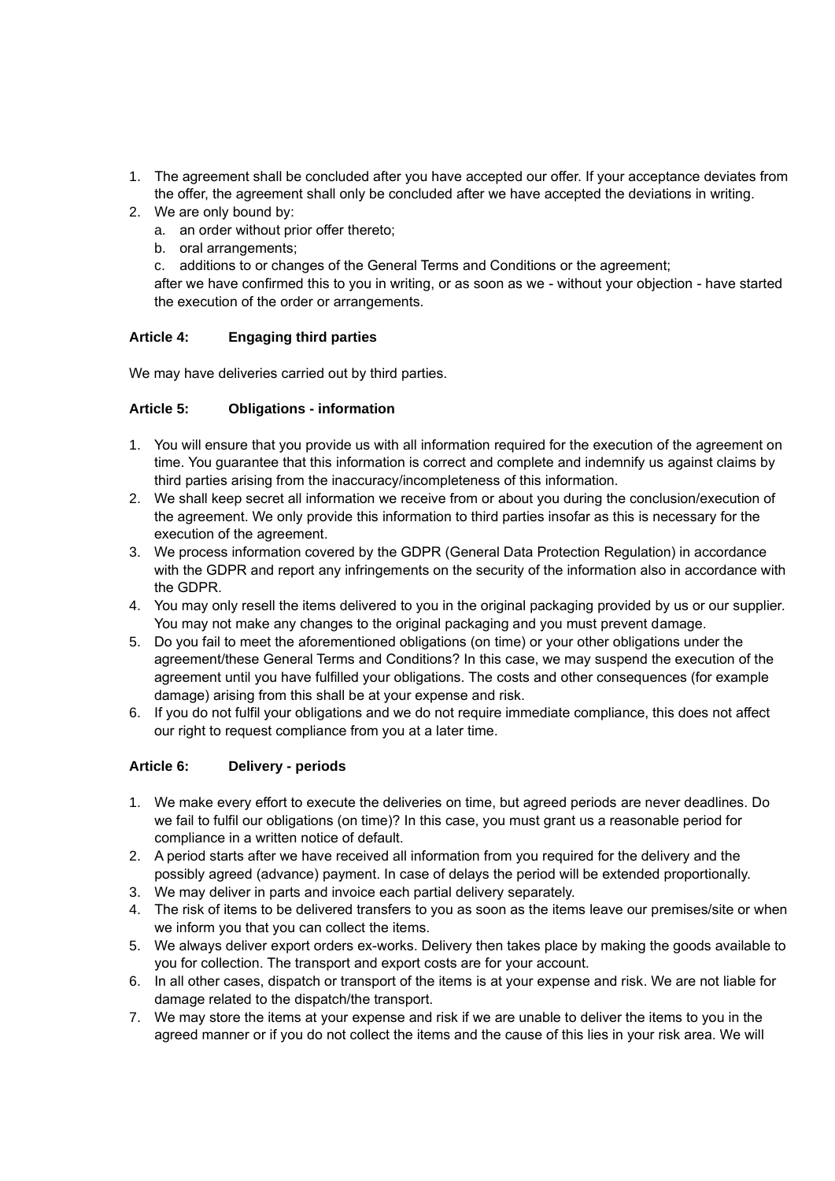- 1. The agreement shall be concluded after you have accepted our offer. If your acceptance deviates from the offer, the agreement shall only be concluded after we have accepted the deviations in writing.
- 2. We are only bound by:
	- a. an order without prior offer thereto;
	- b. oral arrangements;
	- c. additions to or changes of the General Terms and Conditions or the agreement;

after we have confirmed this to you in writing, or as soon as we - without your objection - have started the execution of the order or arrangements.

## **Article 4: Engaging third parties**

We may have deliveries carried out by third parties.

# **Article 5: Obligations - information**

- 1. You will ensure that you provide us with all information required for the execution of the agreement on time. You guarantee that this information is correct and complete and indemnify us against claims by third parties arising from the inaccuracy/incompleteness of this information.
- 2. We shall keep secret all information we receive from or about you during the conclusion/execution of the agreement. We only provide this information to third parties insofar as this is necessary for the execution of the agreement.
- 3. We process information covered by the GDPR (General Data Protection Regulation) in accordance with the GDPR and report any infringements on the security of the information also in accordance with the GDPR.
- 4. You may only resell the items delivered to you in the original packaging provided by us or our supplier. You may not make any changes to the original packaging and you must prevent damage.
- 5. Do you fail to meet the aforementioned obligations (on time) or your other obligations under the agreement/these General Terms and Conditions? In this case, we may suspend the execution of the agreement until you have fulfilled your obligations. The costs and other consequences (for example damage) arising from this shall be at your expense and risk.
- 6. If you do not fulfil your obligations and we do not require immediate compliance, this does not affect our right to request compliance from you at a later time.

# **Article 6: Delivery - periods**

- 1. We make every effort to execute the deliveries on time, but agreed periods are never deadlines. Do we fail to fulfil our obligations (on time)? In this case, you must grant us a reasonable period for compliance in a written notice of default.
- 2. A period starts after we have received all information from you required for the delivery and the possibly agreed (advance) payment. In case of delays the period will be extended proportionally.
- 3. We may deliver in parts and invoice each partial delivery separately.
- 4. The risk of items to be delivered transfers to you as soon as the items leave our premises/site or when we inform you that you can collect the items.
- 5. We always deliver export orders ex-works. Delivery then takes place by making the goods available to you for collection. The transport and export costs are for your account.
- 6. In all other cases, dispatch or transport of the items is at your expense and risk. We are not liable for damage related to the dispatch/the transport.
- 7. We may store the items at your expense and risk if we are unable to deliver the items to you in the agreed manner or if you do not collect the items and the cause of this lies in your risk area. We will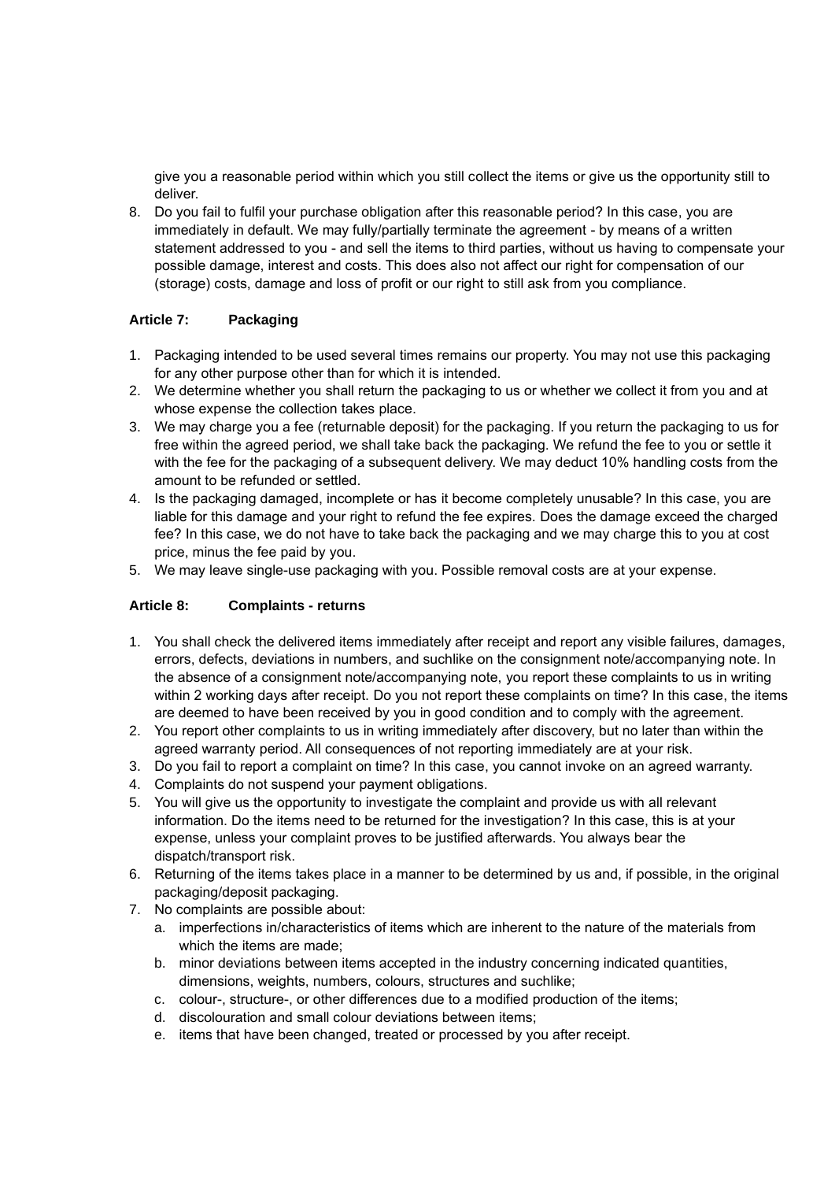give you a reasonable period within which you still collect the items or give us the opportunity still to deliver.

8. Do you fail to fulfil your purchase obligation after this reasonable period? In this case, you are immediately in default. We may fully/partially terminate the agreement - by means of a written statement addressed to you - and sell the items to third parties, without us having to compensate your possible damage, interest and costs. This does also not affect our right for compensation of our (storage) costs, damage and loss of profit or our right to still ask from you compliance.

# **Article 7: Packaging**

- 1. Packaging intended to be used several times remains our property. You may not use this packaging for any other purpose other than for which it is intended.
- 2. We determine whether you shall return the packaging to us or whether we collect it from you and at whose expense the collection takes place.
- 3. We may charge you a fee (returnable deposit) for the packaging. If you return the packaging to us for free within the agreed period, we shall take back the packaging. We refund the fee to you or settle it with the fee for the packaging of a subsequent delivery. We may deduct 10% handling costs from the amount to be refunded or settled.
- 4. Is the packaging damaged, incomplete or has it become completely unusable? In this case, you are liable for this damage and your right to refund the fee expires. Does the damage exceed the charged fee? In this case, we do not have to take back the packaging and we may charge this to you at cost price, minus the fee paid by you.
- 5. We may leave single-use packaging with you. Possible removal costs are at your expense.

# **Article 8: Complaints - returns**

- 1. You shall check the delivered items immediately after receipt and report any visible failures, damages, errors, defects, deviations in numbers, and suchlike on the consignment note/accompanying note. In the absence of a consignment note/accompanying note, you report these complaints to us in writing within 2 working days after receipt. Do you not report these complaints on time? In this case, the items are deemed to have been received by you in good condition and to comply with the agreement.
- 2. You report other complaints to us in writing immediately after discovery, but no later than within the agreed warranty period. All consequences of not reporting immediately are at your risk.
- 3. Do you fail to report a complaint on time? In this case, you cannot invoke on an agreed warranty.
- 4. Complaints do not suspend your payment obligations.
- 5. You will give us the opportunity to investigate the complaint and provide us with all relevant information. Do the items need to be returned for the investigation? In this case, this is at your expense, unless your complaint proves to be justified afterwards. You always bear the dispatch/transport risk.
- 6. Returning of the items takes place in a manner to be determined by us and, if possible, in the original packaging/deposit packaging.
- 7. No complaints are possible about:
	- a. imperfections in/characteristics of items which are inherent to the nature of the materials from which the items are made;
	- b. minor deviations between items accepted in the industry concerning indicated quantities, dimensions, weights, numbers, colours, structures and suchlike;
	- c. colour-, structure-, or other differences due to a modified production of the items;
	- d. discolouration and small colour deviations between items;
	- e. items that have been changed, treated or processed by you after receipt.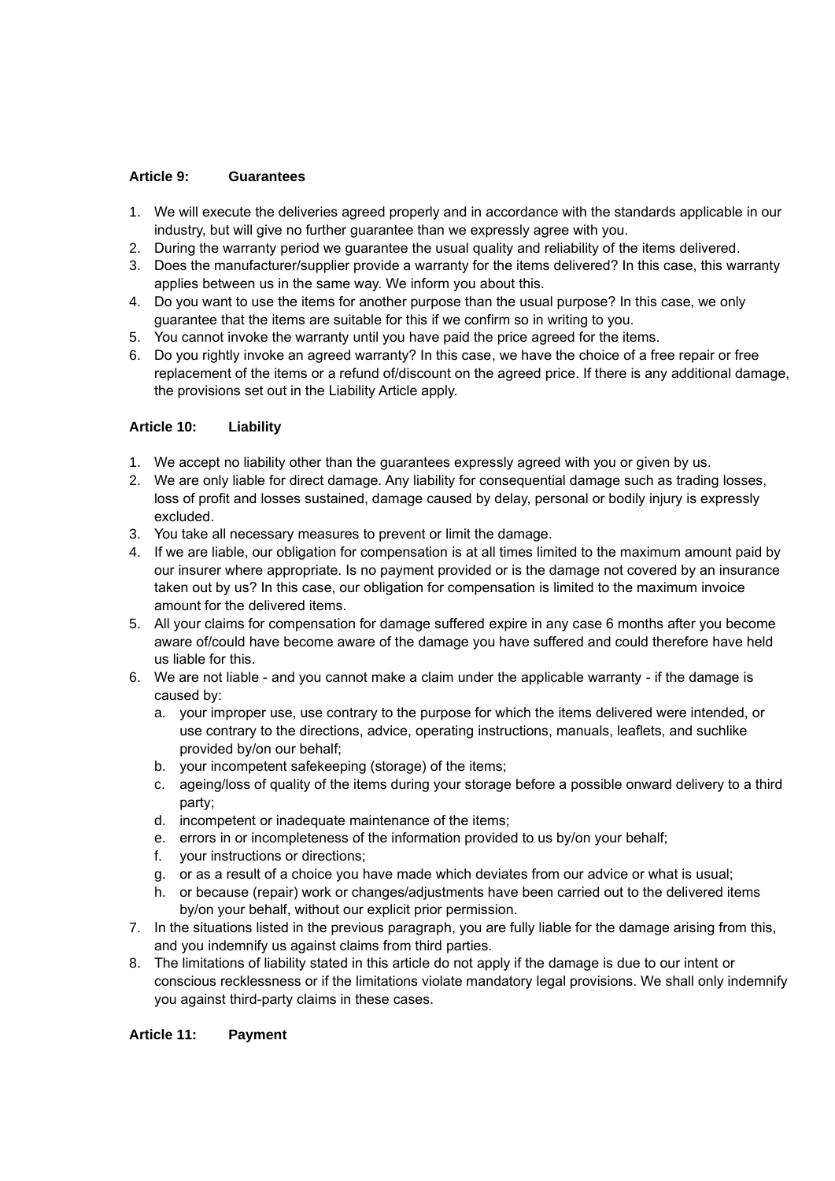## **Article 9: Guarantees**

- 1. We will execute the deliveries agreed properly and in accordance with the standards applicable in our industry, but will give no further guarantee than we expressly agree with you.
- 2. During the warranty period we guarantee the usual quality and reliability of the items delivered.
- 3. Does the manufacturer/supplier provide a warranty for the items delivered? In this case, this warranty applies between us in the same way. We inform you about this.
- 4. Do you want to use the items for another purpose than the usual purpose? In this case, we only guarantee that the items are suitable for this if we confirm so in writing to you.
- 5. You cannot invoke the warranty until you have paid the price agreed for the items.
- 6. Do you rightly invoke an agreed warranty? In this case, we have the choice of a free repair or free replacement of the items or a refund of/discount on the agreed price. If there is any additional damage, the provisions set out in the Liability Article apply.

# **Article 10: Liability**

- 1. We accept no liability other than the guarantees expressly agreed with you or given by us.
- 2. We are only liable for direct damage. Any liability for consequential damage such as trading losses, loss of profit and losses sustained, damage caused by delay, personal or bodily injury is expressly excluded.
- 3. You take all necessary measures to prevent or limit the damage.
- 4. If we are liable, our obligation for compensation is at all times limited to the maximum amount paid by our insurer where appropriate. Is no payment provided or is the damage not covered by an insurance taken out by us? In this case, our obligation for compensation is limited to the maximum invoice amount for the delivered items.
- 5. All your claims for compensation for damage suffered expire in any case 6 months after you become aware of/could have become aware of the damage you have suffered and could therefore have held us liable for this.
- 6. We are not liable and you cannot make a claim under the applicable warranty if the damage is caused by:
	- a. your improper use, use contrary to the purpose for which the items delivered were intended, or use contrary to the directions, advice, operating instructions, manuals, leaflets, and suchlike provided by/on our behalf;
	- b. your incompetent safekeeping (storage) of the items;
	- c. ageing/loss of quality of the items during your storage before a possible onward delivery to a third party;
	- d. incompetent or inadequate maintenance of the items;
	- e. errors in or incompleteness of the information provided to us by/on your behalf;
	- f. your instructions or directions;
	- g. or as a result of a choice you have made which deviates from our advice or what is usual;
	- h. or because (repair) work or changes/adjustments have been carried out to the delivered items by/on your behalf, without our explicit prior permission.
- 7. In the situations listed in the previous paragraph, you are fully liable for the damage arising from this, and you indemnify us against claims from third parties.
- 8. The limitations of liability stated in this article do not apply if the damage is due to our intent or conscious recklessness or if the limitations violate mandatory legal provisions. We shall only indemnify you against third-party claims in these cases.

## **Article 11: Payment**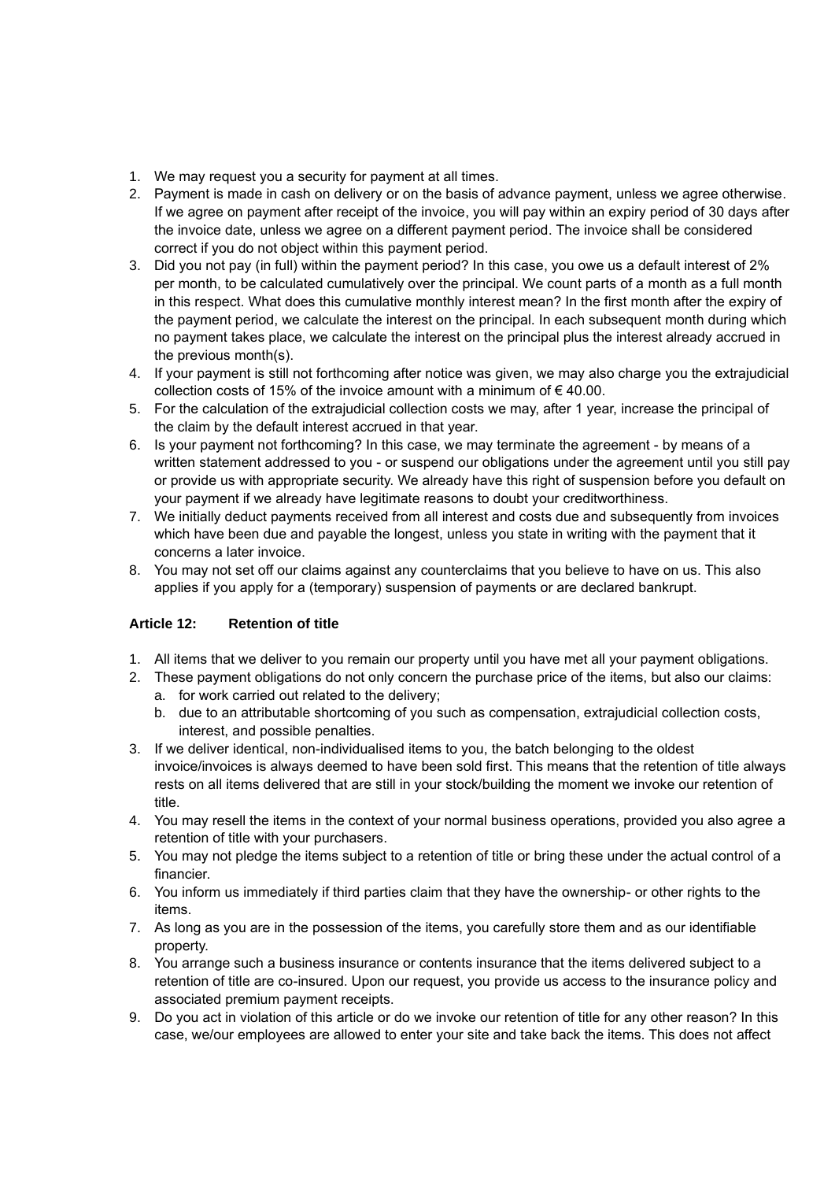- 1. We may request you a security for payment at all times.
- 2. Payment is made in cash on delivery or on the basis of advance payment, unless we agree otherwise. If we agree on payment after receipt of the invoice, you will pay within an expiry period of 30 days after the invoice date, unless we agree on a different payment period. The invoice shall be considered correct if you do not object within this payment period.
- 3. Did you not pay (in full) within the payment period? In this case, you owe us a default interest of 2% per month, to be calculated cumulatively over the principal. We count parts of a month as a full month in this respect. What does this cumulative monthly interest mean? In the first month after the expiry of the payment period, we calculate the interest on the principal. In each subsequent month during which no payment takes place, we calculate the interest on the principal plus the interest already accrued in the previous month(s).
- 4. If your payment is still not forthcoming after notice was given, we may also charge you the extrajudicial collection costs of 15% of the invoice amount with a minimum of  $\epsilon$  40.00.
- 5. For the calculation of the extrajudicial collection costs we may, after 1 year, increase the principal of the claim by the default interest accrued in that year.
- 6. Is your payment not forthcoming? In this case, we may terminate the agreement by means of a written statement addressed to you - or suspend our obligations under the agreement until you still pay or provide us with appropriate security. We already have this right of suspension before you default on your payment if we already have legitimate reasons to doubt your creditworthiness.
- 7. We initially deduct payments received from all interest and costs due and subsequently from invoices which have been due and payable the longest, unless you state in writing with the payment that it concerns a later invoice.
- 8. You may not set off our claims against any counterclaims that you believe to have on us. This also applies if you apply for a (temporary) suspension of payments or are declared bankrupt.

# **Article 12: Retention of title**

- 1. All items that we deliver to you remain our property until you have met all your payment obligations.
- 2. These payment obligations do not only concern the purchase price of the items, but also our claims:
	- a. for work carried out related to the delivery;
	- b. due to an attributable shortcoming of you such as compensation, extrajudicial collection costs, interest, and possible penalties.
- 3. If we deliver identical, non-individualised items to you, the batch belonging to the oldest invoice/invoices is always deemed to have been sold first. This means that the retention of title always rests on all items delivered that are still in your stock/building the moment we invoke our retention of title.
- 4. You may resell the items in the context of your normal business operations, provided you also agree a retention of title with your purchasers.
- 5. You may not pledge the items subject to a retention of title or bring these under the actual control of a financier.
- 6. You inform us immediately if third parties claim that they have the ownership- or other rights to the items.
- 7. As long as you are in the possession of the items, you carefully store them and as our identifiable property.
- 8. You arrange such a business insurance or contents insurance that the items delivered subject to a retention of title are co-insured. Upon our request, you provide us access to the insurance policy and associated premium payment receipts.
- 9. Do you act in violation of this article or do we invoke our retention of title for any other reason? In this case, we/our employees are allowed to enter your site and take back the items. This does not affect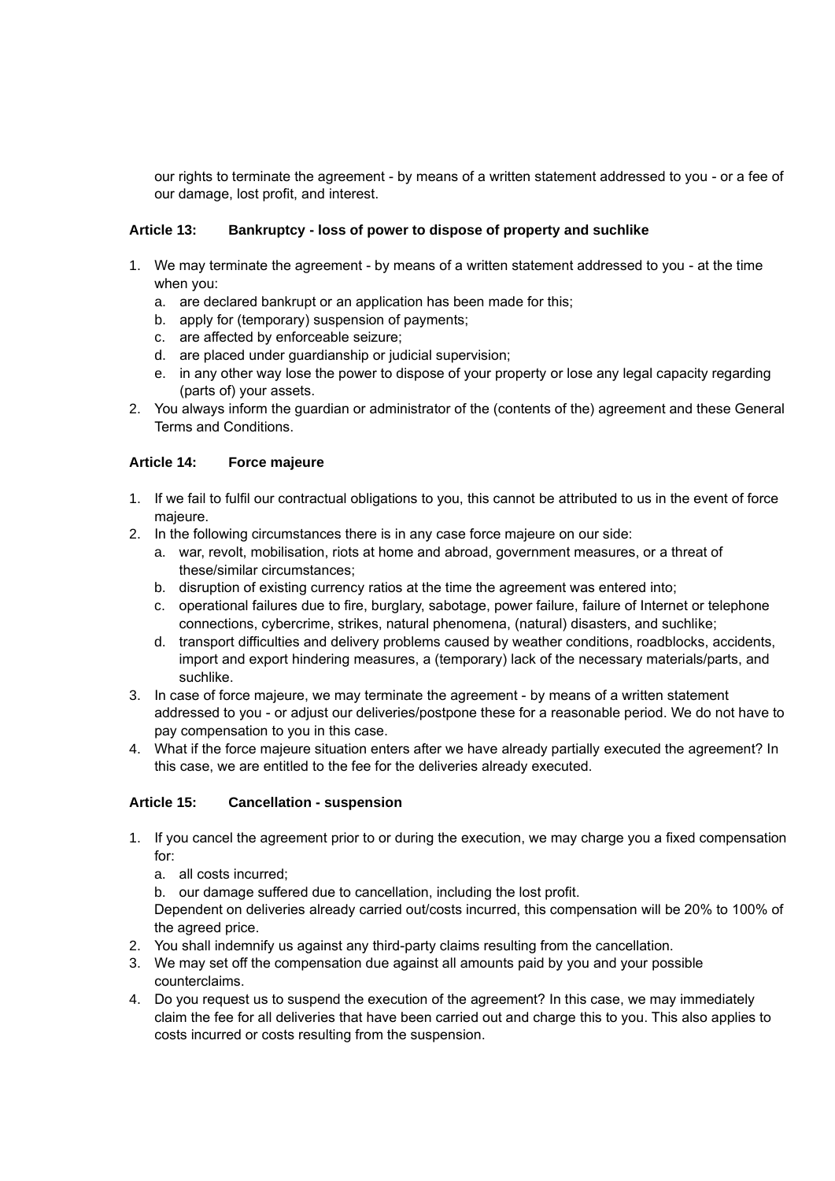our rights to terminate the agreement - by means of a written statement addressed to you - or a fee of our damage, lost profit, and interest.

## **Article 13: Bankruptcy - loss of power to dispose of property and suchlike**

- 1. We may terminate the agreement by means of a written statement addressed to you at the time when you:
	- a. are declared bankrupt or an application has been made for this;
	- b. apply for (temporary) suspension of payments;
	- c. are affected by enforceable seizure;
	- d. are placed under guardianship or judicial supervision;
	- e. in any other way lose the power to dispose of your property or lose any legal capacity regarding (parts of) your assets.
- 2. You always inform the guardian or administrator of the (contents of the) agreement and these General Terms and Conditions.

## **Article 14: Force majeure**

- 1. If we fail to fulfil our contractual obligations to you, this cannot be attributed to us in the event of force majeure.
- 2. In the following circumstances there is in any case force majeure on our side:
	- a. war, revolt, mobilisation, riots at home and abroad, government measures, or a threat of these/similar circumstances;
	- b. disruption of existing currency ratios at the time the agreement was entered into;
	- c. operational failures due to fire, burglary, sabotage, power failure, failure of Internet or telephone connections, cybercrime, strikes, natural phenomena, (natural) disasters, and suchlike;
	- d. transport difficulties and delivery problems caused by weather conditions, roadblocks, accidents, import and export hindering measures, a (temporary) lack of the necessary materials/parts, and suchlike.
- 3. In case of force majeure, we may terminate the agreement by means of a written statement addressed to you - or adjust our deliveries/postpone these for a reasonable period. We do not have to pay compensation to you in this case.
- 4. What if the force majeure situation enters after we have already partially executed the agreement? In this case, we are entitled to the fee for the deliveries already executed.

## **Article 15: Cancellation - suspension**

- 1. If you cancel the agreement prior to or during the execution, we may charge you a fixed compensation for:
	- a. all costs incurred;
	- b. our damage suffered due to cancellation, including the lost profit.

Dependent on deliveries already carried out/costs incurred, this compensation will be 20% to 100% of the agreed price.

- 2. You shall indemnify us against any third-party claims resulting from the cancellation.
- 3. We may set off the compensation due against all amounts paid by you and your possible counterclaims.
- 4. Do you request us to suspend the execution of the agreement? In this case, we may immediately claim the fee for all deliveries that have been carried out and charge this to you. This also applies to costs incurred or costs resulting from the suspension.